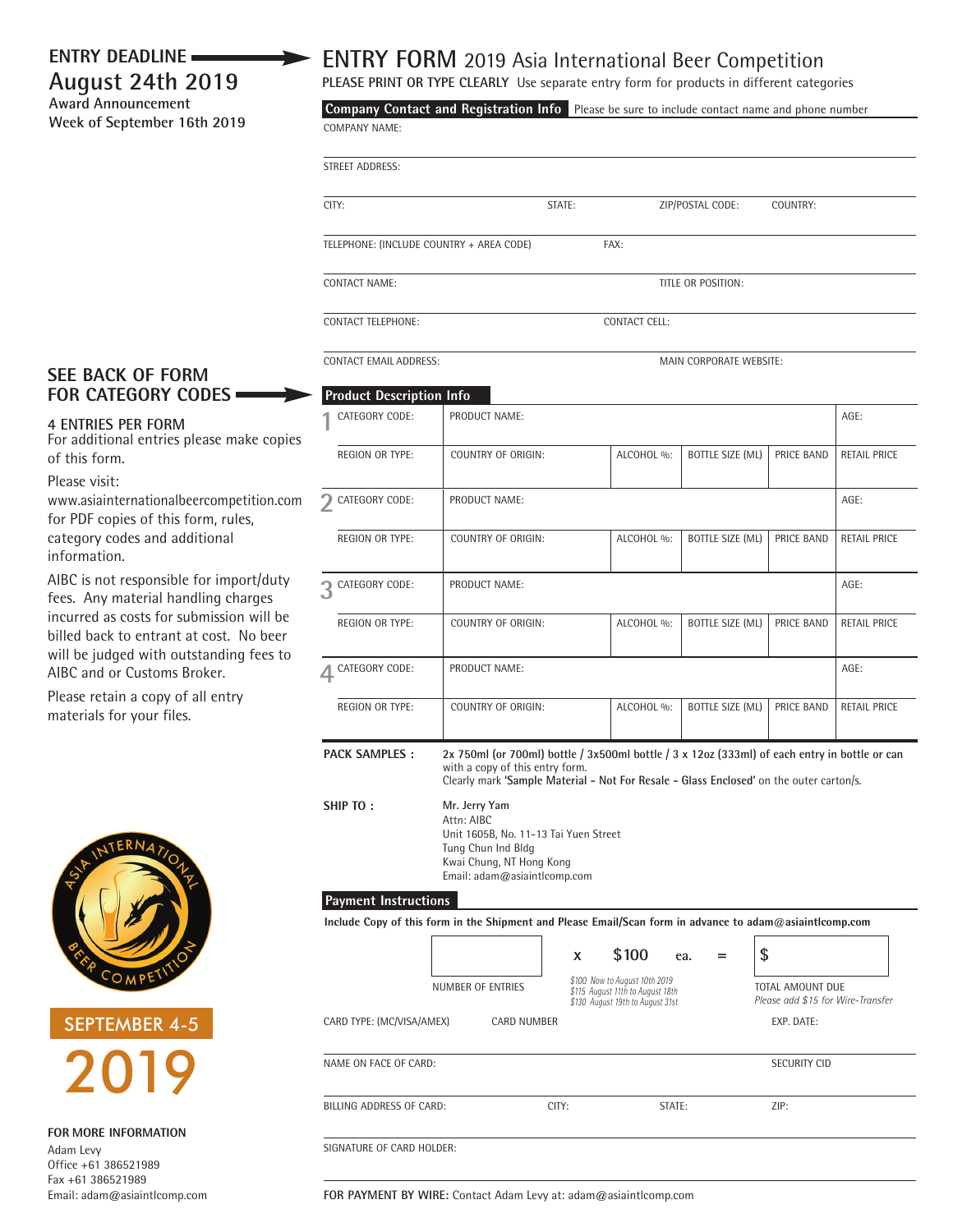## **August 24th 2019 Award Announcement**

**Week of September 16th 2019**

## **ENTRY DEADLINE ENTRY FORM** 2019 Asia International Beer Competition

**PLEASE PRINT OR TYPE CLEARLY** Use separate entry form for products in different categories

COMPANY NAME: **Company Contact and Registration Info** Please be sure to include contact name and phone number

| STREET ADDRESS: |
|-----------------|

CITY: STATE: ZIP/POSTAL CODE: COUNTRY:

TELEPHONE: (INCLUDE COUNTRY + AREA CODE) FAX:

**CONTACT NAME:** TITLE OR POSITION:

CONTACT TELEPHONE: CONTACT CELL:

CONTACT EMAIL ADDRESS: MAIN CORPORATE WEBSITE:

## **SEE BACK OF FORM FOR CATEGORY CODES**

## **4 ENTRIES PER FORM**

For additional entries please make copies of this form.

Please visit:

www.asiainternationalbeercompetition.com for PDF copies of this form, rules, category codes and additional information.

AIBC is not responsible for import/duty fees. Any material handling charges incurred as costs for submission will be billed back to entrant at cost. No beer will be judged with outstanding fees to AIBC and or Customs Broker.

Please retain a copy of all entry materials for your files.



SEPTEMBER 4-5 2019

**FOR MORE INFORMATION**  Adam Levy Office +61 386521989 Fax +61 386521989 Email: adam@asiaintlcomp.com

| <b>Product Description Info</b> |                                                                                                                                                                                                                                     |      |            |                                                       |              |                     |  |  |
|---------------------------------|-------------------------------------------------------------------------------------------------------------------------------------------------------------------------------------------------------------------------------------|------|------------|-------------------------------------------------------|--------------|---------------------|--|--|
| CATEGORY CODE:                  | PRODUCT NAME:                                                                                                                                                                                                                       | AGE: |            |                                                       |              |                     |  |  |
| <b>REGION OR TYPE:</b>          | COUNTRY OF ORIGIN:                                                                                                                                                                                                                  |      | ALCOHOL %: | BOTTLE SIZE (ML)                                      | PRICE BAND   | <b>RETAIL PRICE</b> |  |  |
| CATEGORY CODE:                  | PRODUCT NAME:                                                                                                                                                                                                                       | AGE: |            |                                                       |              |                     |  |  |
| <b>REGION OR TYPE:</b>          | <b>COUNTRY OF ORIGIN:</b>                                                                                                                                                                                                           |      | ALCOHOL %: | BOTTLE SIZE (ML)                                      | PRICE BAND   | <b>RETAIL PRICE</b> |  |  |
| 3 CATEGORY CODE:                | PRODUCT NAME:                                                                                                                                                                                                                       |      |            |                                                       |              |                     |  |  |
| <b>REGION OR TYPE:</b>          | <b>COUNTRY OF ORIGIN:</b>                                                                                                                                                                                                           |      | ALCOHOL %: | <b>BOTTLE SIZE (ML)</b>                               | PRICE BAND   | <b>RETAIL PRICE</b> |  |  |
| CATEGORY CODE:                  | <b>PRODUCT NAME:</b>                                                                                                                                                                                                                | AGE: |            |                                                       |              |                     |  |  |
| <b>REGION OR TYPE:</b>          | COUNTRY OF ORIGIN:                                                                                                                                                                                                                  |      | ALCOHOL %: | <b>BOTTLE SIZE (ML)</b>                               | PRICE BAND   | RETAIL PRICE        |  |  |
| <b>PACK SAMPLES:</b>            | 2x 750ml (or 700ml) bottle / $3x500$ ml bottle / $3x$ 12oz ( $333$ ml) of each entry in bottle or can<br>with a copy of this entry form.<br>Clearly mark 'Sample Material - Not For Resale - Glass Enclosed' on the outer carton/s. |      |            |                                                       |              |                     |  |  |
| SHIP TO:                        | Mr. Jerry Yam<br>Attn: AIBC<br>Unit 1605B. No. 11-13 Tai Yuen Street<br>Tung Chun Ind Bldg<br>Kwai Chung, NT Hong Kong<br>Email: adam@asiaintlcomp.com                                                                              |      |            |                                                       |              |                     |  |  |
| <b>Payment Instructions</b>     | Include Copy of this form in the Shipment and Please Email/Scan form in advance to adam@asiaintlcomp.com                                                                                                                            |      |            |                                                       |              |                     |  |  |
|                                 |                                                                                                                                                                                                                                     | x    | \$100      | ea.<br>$=$                                            | \$           |                     |  |  |
|                                 | \$100 Now to August 10th 2019<br>\$115 August 11th to August 18th<br>\$130 August 19th to August 31st                                                                                                                               |      |            | TOTAL AMOUNT DUE<br>Please add \$15 for Wire-Transfer |              |                     |  |  |
| CARD TYPE: (MC/VISA/AMEX)       | <b>CARD NUMBER</b>                                                                                                                                                                                                                  |      |            |                                                       | EXP. DATE:   |                     |  |  |
| NAME ON FACE OF CARD:           |                                                                                                                                                                                                                                     |      |            |                                                       | SECURITY CID |                     |  |  |

BILLING ADDRESS OF CARD: CITY: CITY: STATE: 2IP:

SIGNATURE OF CARD HOLDER:

**FOR PAYMENT BY WIRE:** Contact Adam Levy at: adam@asiaintlcomp.com